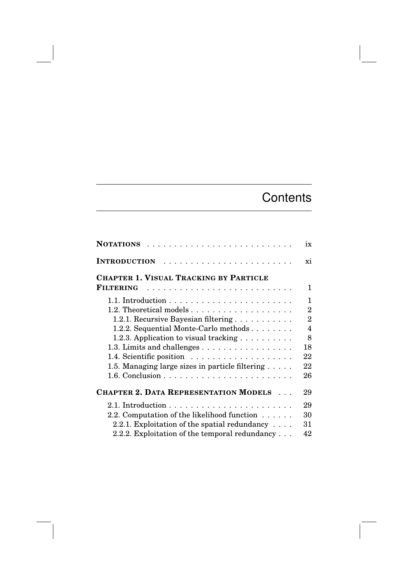## **Contents**

| <b>NOTATIONS</b>                                           | ix             |
|------------------------------------------------------------|----------------|
| <b>INTRODUCTION</b>                                        | xi             |
| <b>CHAPTER 1. VISUAL TRACKING BY PARTICLE</b>              |                |
| <b>FILTERING</b>                                           | 1              |
|                                                            | 1              |
|                                                            | $\overline{2}$ |
| 1.2.1. Recursive Bayesian filtering                        | $\overline{2}$ |
| 1.2.2. Sequential Monte-Carlo methods                      | 4              |
| 1.2.3. Application to visual tracking $\dots \dots \dots$  | 8              |
| 1.3. Limits and challenges                                 | 18             |
|                                                            | 22             |
| 1.5. Managing large sizes in particle filtering $\ldots$ . | 22             |
|                                                            | 26             |
| <b>CHAPTER 2. DATA REPRESENTATION MODELS </b>              | 29             |
|                                                            | 29             |
| 2.2. Computation of the likelihood function                | 30             |
| 2.2.1. Exploitation of the spatial redundancy $\dots$      | 31             |
| 2.2.2. Exploitation of the temporal redundancy $\ldots$    | 42             |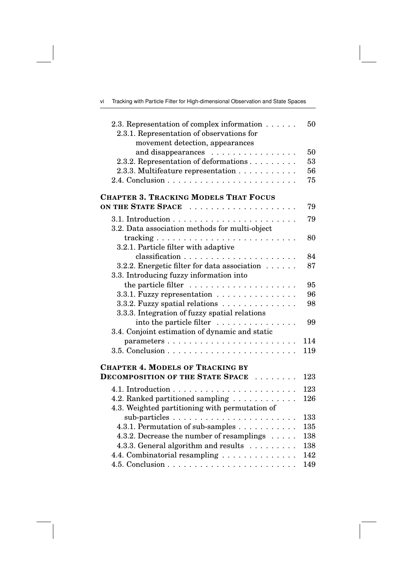| Vİ |  |  |  | Tracking with Particle Filter for High-dimensional Observation and State Spaces |  |  |  |  |
|----|--|--|--|---------------------------------------------------------------------------------|--|--|--|--|
|----|--|--|--|---------------------------------------------------------------------------------|--|--|--|--|

 $\overline{\phantom{a}}$ 

| 2.3. Representation of complex information $\dots \dots$<br>2.3.1. Representation of observations for<br>movement detection, appearances | 50  |
|------------------------------------------------------------------------------------------------------------------------------------------|-----|
| and disappearances                                                                                                                       | 50  |
| 2.3.2. Representation of deformations                                                                                                    | 53  |
| 2.3.3. Multifeature representation                                                                                                       | 56  |
|                                                                                                                                          | 75  |
|                                                                                                                                          |     |
| <b>CHAPTER 3. TRACKING MODELS THAT FOCUS</b>                                                                                             |     |
| ON THE STATE SPACE                                                                                                                       | 79  |
|                                                                                                                                          | 79  |
| 3.2. Data association methods for multi-object                                                                                           |     |
|                                                                                                                                          | 80  |
| 3.2.1. Particle filter with adaptive                                                                                                     |     |
|                                                                                                                                          | 84  |
| 3.2.2. Energetic filter for data association                                                                                             | 87  |
| 3.3. Introducing fuzzy information into                                                                                                  |     |
|                                                                                                                                          | 95  |
| 3.3.1. Fuzzy representation                                                                                                              | 96  |
| 3.3.2. Fuzzy spatial relations                                                                                                           | 98  |
| 3.3.3. Integration of fuzzy spatial relations                                                                                            |     |
| into the particle filter                                                                                                                 | 99  |
| 3.4. Conjoint estimation of dynamic and static                                                                                           |     |
| parameters                                                                                                                               | 114 |
|                                                                                                                                          | 119 |
|                                                                                                                                          |     |
| <b>CHAPTER 4. MODELS OF TRACKING BY</b>                                                                                                  |     |
| <b>DECOMPOSITION OF THE STATE SPACE </b>                                                                                                 | 123 |
|                                                                                                                                          | 123 |
| 4.2. Ranked partitioned sampling                                                                                                         | 126 |
| 4.3. Weighted partitioning with permutation of                                                                                           |     |
|                                                                                                                                          | 133 |
| 4.3.1. Permutation of sub-samples                                                                                                        | 135 |
| 4.3.2. Decrease the number of resamplings                                                                                                | 138 |
| 4.3.3. General algorithm and results                                                                                                     | 138 |
| 4.4. Combinatorial resampling                                                                                                            | 142 |
|                                                                                                                                          | 149 |